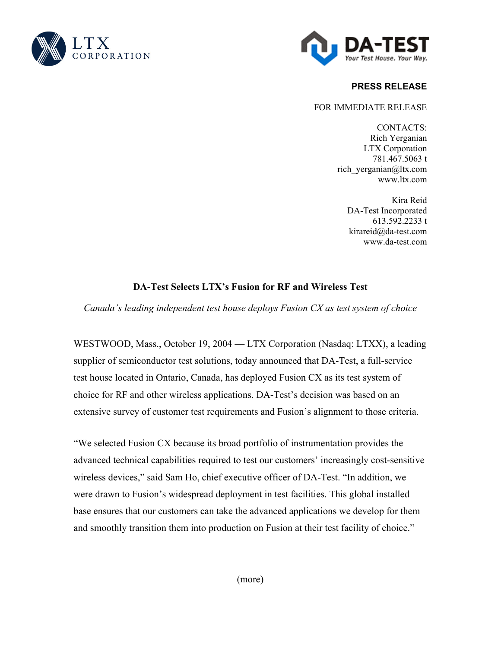



# **PRESS RELEASE**

### FOR IMMEDIATE RELEASE

CONTACTS: Rich Yerganian LTX Corporation 781.467.5063 t rich\_yerganian@ltx.com www.ltx.com

Kira Reid DA-Test Incorporated 613.592.2233 t kirareid@da-test.com www.da-test.com

# **DA-Test Selects LTX's Fusion for RF and Wireless Test**

*Canada's leading independent test house deploys Fusion CX as test system of choice* 

WESTWOOD, Mass., October 19, 2004 — LTX Corporation (Nasdaq: LTXX), a leading supplier of semiconductor test solutions, today announced that DA-Test, a full-service test house located in Ontario, Canada, has deployed Fusion CX as its test system of choice for RF and other wireless applications. DA-Test's decision was based on an extensive survey of customer test requirements and Fusion's alignment to those criteria.

"We selected Fusion CX because its broad portfolio of instrumentation provides the advanced technical capabilities required to test our customers' increasingly cost-sensitive wireless devices," said Sam Ho, chief executive officer of DA-Test. "In addition, we were drawn to Fusion's widespread deployment in test facilities. This global installed base ensures that our customers can take the advanced applications we develop for them and smoothly transition them into production on Fusion at their test facility of choice."